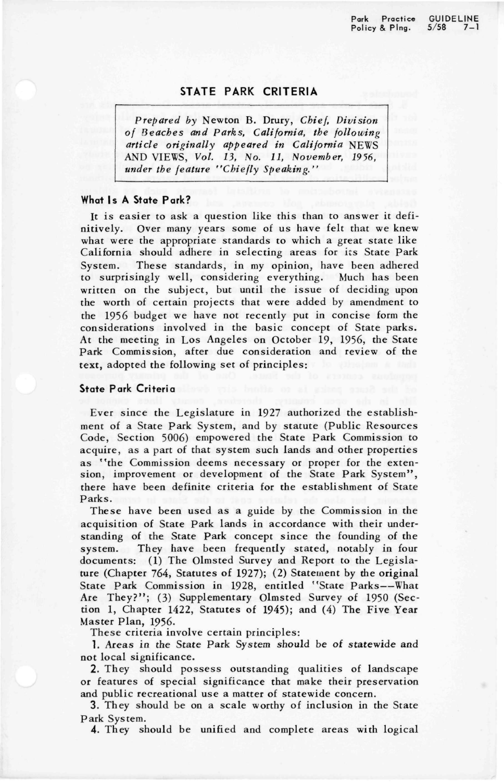Park Practice GUIDELINE<br>Policy & Plng. 5/58 7-1 Policy & Plng.

## **STATE PARK CRITERIA**

*Prepared by* Newton B. Drury, *Chief, Division of Beaches and Parks, California, the following article originally appeared in California* NEWS AND VIEWS, *Vol. 13, No. 11, November, 1936, under the feature "Chiefly Speaking."* 

## **What Is A State Park?**

It is easier to ask a question like this than to answer it definitively. Over many years some of us have felt that we knew what were the appropriate standards to which a great state like California should adhere in selecting areas for its State Park System. These standards, in my opinion, have been adhered to surprisingly well, considering everything. Much has been written on the subject, but until the issue of deciding upon the worth of certain projects that were added by amendment to the 1956 budget we have not recently put in concise form the considerations involved in the basic concept of State parks. At the meeting in Los Angeles on October 19, 1956, the State Park Commission, after due consideration and review of the text, adopted the following set of principles:

## **State Park Criteria**

Ever since the Legislature in 1927 authorized the establishment of a State Park System, and by statute (Public Resources Code, Section 5006) empowered the State Park Commission to acquire, as a part of that system such lands and other properties as "the Commission deems necessary or proper for the extension, improvement or development of the State Park System", there have been definite criteria for the establishment of State Parks.

These have been used as a guide by the Commission in the acquisition of State Park lands in accordance with their understanding of the State Park concept since the founding of the system. They have been frequently stated, notably in four documents: (1) The Olmsted Survey and Report to the Legislature (Chapter 764, Statutes of 1927); (2) Statement by the original State Park Commission in 1928, entitled "State Parks—What Are They?"; (3) Supplementary Olmsted Survey of 1950 (Section 1, Chapter 1422, Statutes of 1945); and (4) The Five Year Master Plan, 1956.

These criteria involve certain principles:

1. Areas in the State Park System should be of statewide and not local significance.

2. They should possess outstanding qualities of landscape or features of special significance that make their preservation and public recreational use a matter of statewide concern.

3. They should be on a scale worthy of inclusion in the State Park System.

4. They should be unified and complete areas with logical